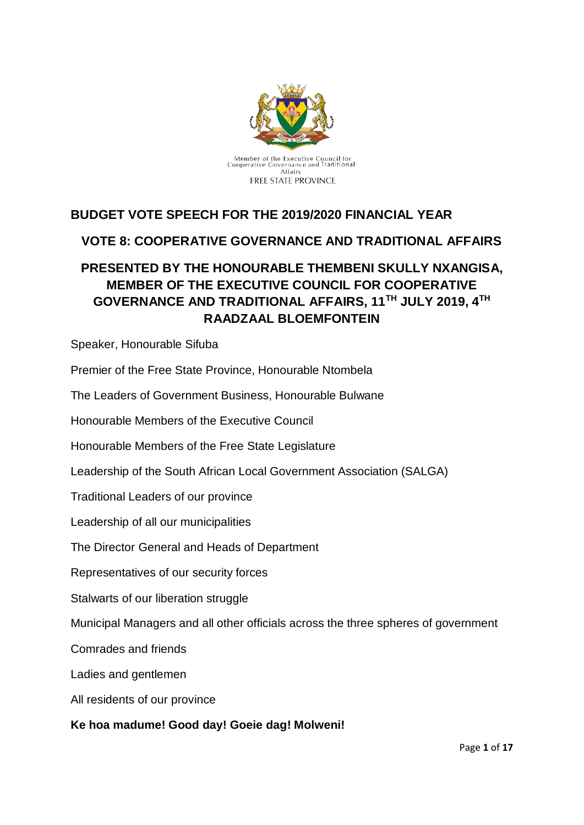

# **BUDGET VOTE SPEECH FOR THE 2019/2020 FINANCIAL YEAR**

# **VOTE 8: COOPERATIVE GOVERNANCE AND TRADITIONAL AFFAIRS**

# **PRESENTED BY THE HONOURABLE THEMBENI SKULLY NXANGISA, MEMBER OF THE EXECUTIVE COUNCIL FOR COOPERATIVE GOVERNANCE AND TRADITIONAL AFFAIRS, 11TH JULY 2019, 4TH RAADZAAL BLOEMFONTEIN**

Speaker, Honourable Sifuba

Premier of the Free State Province, Honourable Ntombela

The Leaders of Government Business, Honourable Bulwane

Honourable Members of the Executive Council

Honourable Members of the Free State Legislature

Leadership of the South African Local Government Association (SALGA)

Traditional Leaders of our province

Leadership of all our municipalities

The Director General and Heads of Department

Representatives of our security forces

Stalwarts of our liberation struggle

Municipal Managers and all other officials across the three spheres of government

Comrades and friends

Ladies and gentlemen

All residents of our province

#### **Ke hoa madume! Good day! Goeie dag! Molweni!**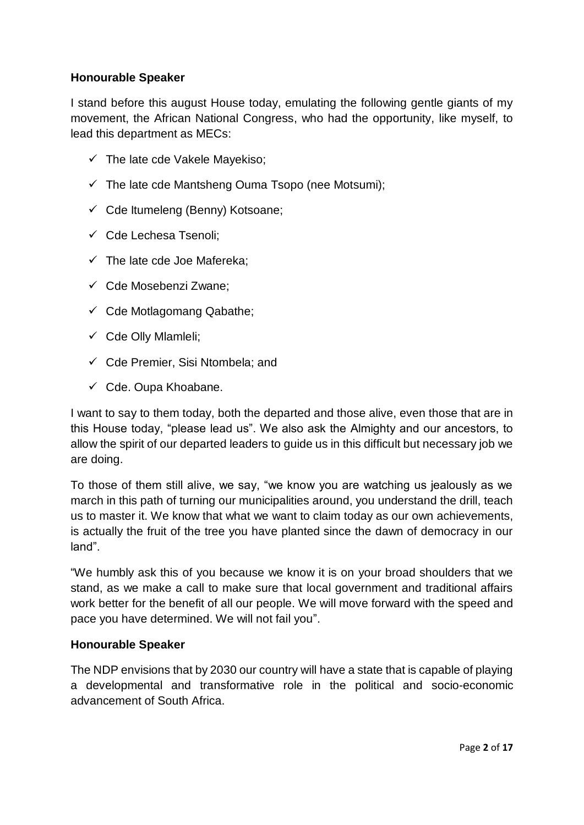### **Honourable Speaker**

I stand before this august House today, emulating the following gentle giants of my movement, the African National Congress, who had the opportunity, like myself, to lead this department as MECs:

- $\checkmark$  The late cde Vakele Mavekiso:
- $\checkmark$  The late cde Mantsheng Ouma Tsopo (nee Motsumi);
- $\checkmark$  Cde Itumeleng (Benny) Kotsoane;
- ✓ Cde Lechesa Tsenoli;
- $\checkmark$  The late cde Joe Mafereka;
- ✓ Cde Mosebenzi Zwane;
- $\checkmark$  Cde Motlagomang Qabathe;
- ✓ Cde Olly Mlamleli;
- $\checkmark$  Cde Premier, Sisi Ntombela; and
- $\checkmark$  Cde. Oupa Khoabane.

I want to say to them today, both the departed and those alive, even those that are in this House today, "please lead us". We also ask the Almighty and our ancestors, to allow the spirit of our departed leaders to guide us in this difficult but necessary job we are doing.

To those of them still alive, we say, "we know you are watching us jealously as we march in this path of turning our municipalities around, you understand the drill, teach us to master it. We know that what we want to claim today as our own achievements, is actually the fruit of the tree you have planted since the dawn of democracy in our land".

"We humbly ask this of you because we know it is on your broad shoulders that we stand, as we make a call to make sure that local government and traditional affairs work better for the benefit of all our people. We will move forward with the speed and pace you have determined. We will not fail you".

#### **Honourable Speaker**

The NDP envisions that by 2030 our country will have a state that is capable of playing a developmental and transformative role in the political and socio-economic advancement of South Africa.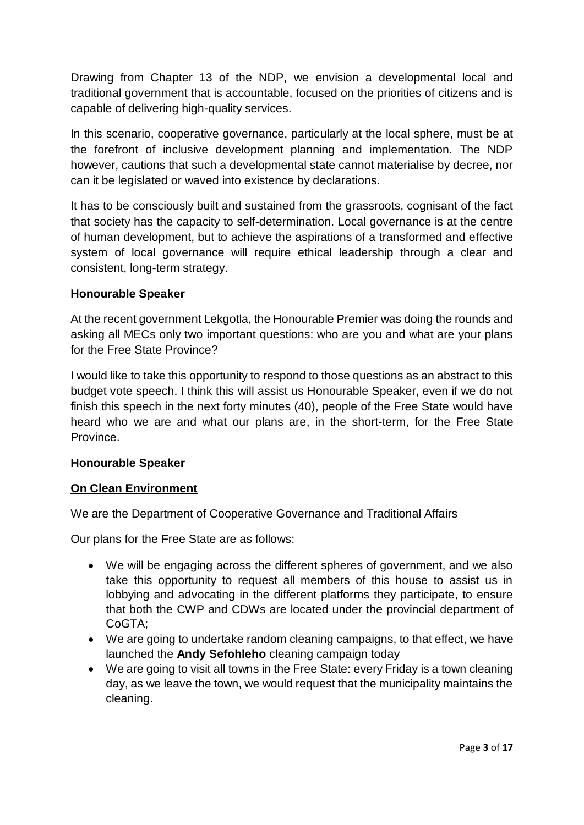Drawing from Chapter 13 of the NDP, we envision a developmental local and traditional government that is accountable, focused on the priorities of citizens and is capable of delivering high-quality services.

In this scenario, cooperative governance, particularly at the local sphere, must be at the forefront of inclusive development planning and implementation. The NDP however, cautions that such a developmental state cannot materialise by decree, nor can it be legislated or waved into existence by declarations.

It has to be consciously built and sustained from the grassroots, cognisant of the fact that society has the capacity to self-determination. Local governance is at the centre of human development, but to achieve the aspirations of a transformed and effective system of local governance will require ethical leadership through a clear and consistent, long-term strategy.

### **Honourable Speaker**

At the recent government Lekgotla, the Honourable Premier was doing the rounds and asking all MECs only two important questions: who are you and what are your plans for the Free State Province?

I would like to take this opportunity to respond to those questions as an abstract to this budget vote speech. I think this will assist us Honourable Speaker, even if we do not finish this speech in the next forty minutes (40), people of the Free State would have heard who we are and what our plans are, in the short-term, for the Free State **Province** 

# **Honourable Speaker**

# **On Clean Environment**

We are the Department of Cooperative Governance and Traditional Affairs

Our plans for the Free State are as follows:

- We will be engaging across the different spheres of government, and we also take this opportunity to request all members of this house to assist us in lobbying and advocating in the different platforms they participate, to ensure that both the CWP and CDWs are located under the provincial department of CoGTA;
- We are going to undertake random cleaning campaigns, to that effect, we have launched the **Andy Sefohleho** cleaning campaign today
- We are going to visit all towns in the Free State: every Friday is a town cleaning day, as we leave the town, we would request that the municipality maintains the cleaning.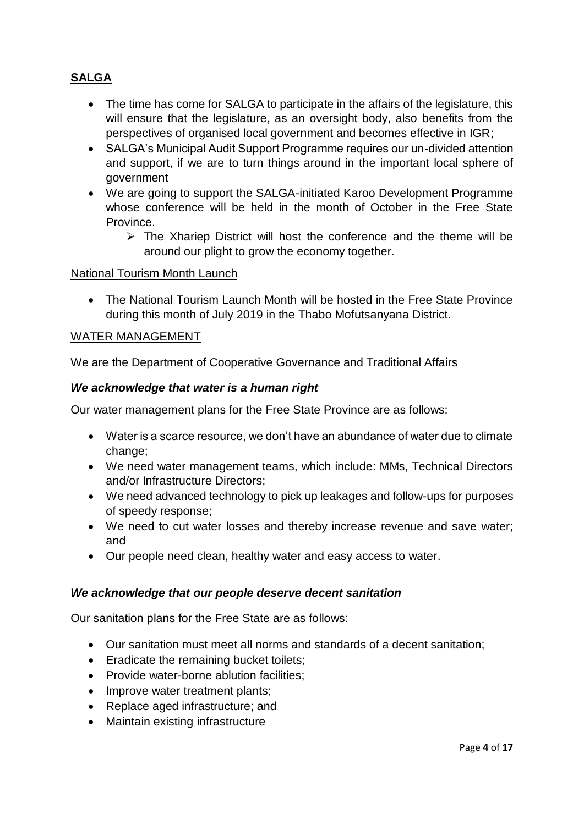# **SALGA**

- The time has come for SALGA to participate in the affairs of the legislature, this will ensure that the legislature, as an oversight body, also benefits from the perspectives of organised local government and becomes effective in IGR;
- SALGA's Municipal Audit Support Programme requires our un-divided attention and support, if we are to turn things around in the important local sphere of government
- We are going to support the SALGA-initiated Karoo Development Programme whose conference will be held in the month of October in the Free State Province.
	- $\triangleright$  The Xhariep District will host the conference and the theme will be around our plight to grow the economy together.

#### National Tourism Month Launch

• The National Tourism Launch Month will be hosted in the Free State Province during this month of July 2019 in the Thabo Mofutsanyana District.

#### WATER MANAGEMENT

We are the Department of Cooperative Governance and Traditional Affairs

#### *We acknowledge that water is a human right*

Our water management plans for the Free State Province are as follows:

- Water is a scarce resource, we don't have an abundance of water due to climate change;
- We need water management teams, which include: MMs, Technical Directors and/or Infrastructure Directors;
- We need advanced technology to pick up leakages and follow-ups for purposes of speedy response;
- We need to cut water losses and thereby increase revenue and save water; and
- Our people need clean, healthy water and easy access to water.

#### *We acknowledge that our people deserve decent sanitation*

Our sanitation plans for the Free State are as follows:

- Our sanitation must meet all norms and standards of a decent sanitation;
- Eradicate the remaining bucket toilets;
- Provide water-borne ablution facilities;
- Improve water treatment plants;
- Replace aged infrastructure; and
- Maintain existing infrastructure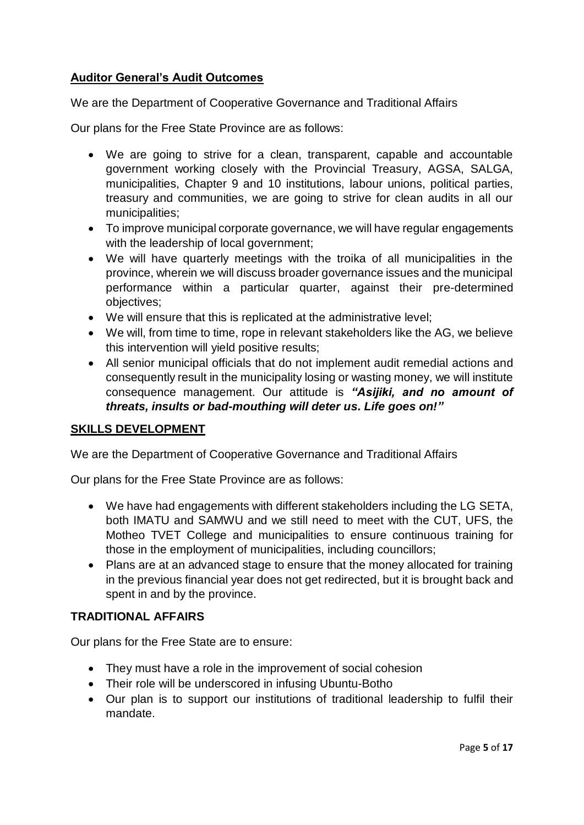# **Auditor General's Audit Outcomes**

We are the Department of Cooperative Governance and Traditional Affairs

Our plans for the Free State Province are as follows:

- We are going to strive for a clean, transparent, capable and accountable government working closely with the Provincial Treasury, AGSA, SALGA, municipalities, Chapter 9 and 10 institutions, labour unions, political parties, treasury and communities, we are going to strive for clean audits in all our municipalities;
- To improve municipal corporate governance, we will have regular engagements with the leadership of local government;
- We will have quarterly meetings with the troika of all municipalities in the province, wherein we will discuss broader governance issues and the municipal performance within a particular quarter, against their pre-determined objectives;
- We will ensure that this is replicated at the administrative level;
- We will, from time to time, rope in relevant stakeholders like the AG, we believe this intervention will yield positive results;
- All senior municipal officials that do not implement audit remedial actions and consequently result in the municipality losing or wasting money, we will institute consequence management. Our attitude is *"Asijiki, and no amount of threats, insults or bad-mouthing will deter us. Life goes on!"*

#### **SKILLS DEVELOPMENT**

We are the Department of Cooperative Governance and Traditional Affairs

Our plans for the Free State Province are as follows:

- We have had engagements with different stakeholders including the LG SETA, both IMATU and SAMWU and we still need to meet with the CUT, UFS, the Motheo TVET College and municipalities to ensure continuous training for those in the employment of municipalities, including councillors;
- Plans are at an advanced stage to ensure that the money allocated for training in the previous financial year does not get redirected, but it is brought back and spent in and by the province.

### **TRADITIONAL AFFAIRS**

Our plans for the Free State are to ensure:

- They must have a role in the improvement of social cohesion
- Their role will be underscored in infusing Ubuntu-Botho
- Our plan is to support our institutions of traditional leadership to fulfil their mandate.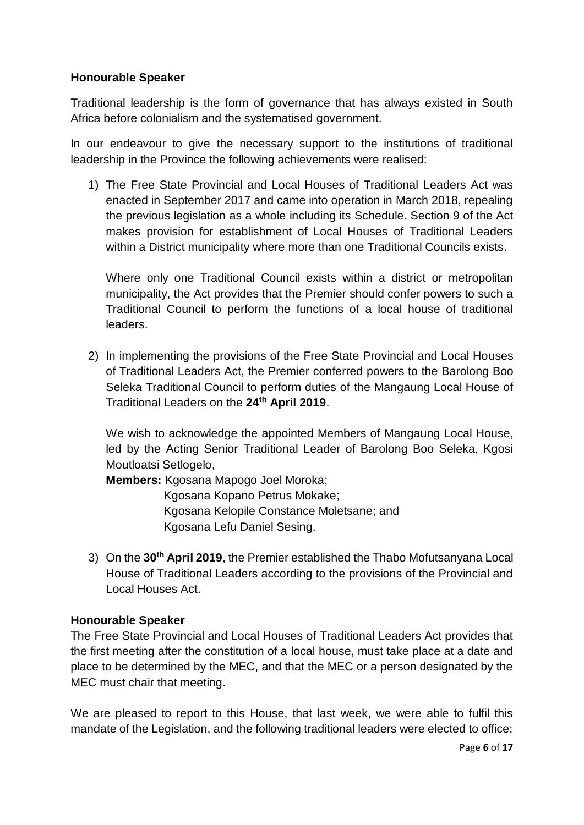#### **Honourable Speaker**

Traditional leadership is the form of governance that has always existed in South Africa before colonialism and the systematised government.

In our endeavour to give the necessary support to the institutions of traditional leadership in the Province the following achievements were realised:

1) The Free State Provincial and Local Houses of Traditional Leaders Act was enacted in September 2017 and came into operation in March 2018, repealing the previous legislation as a whole including its Schedule. Section 9 of the Act makes provision for establishment of Local Houses of Traditional Leaders within a District municipality where more than one Traditional Councils exists.

Where only one Traditional Council exists within a district or metropolitan municipality, the Act provides that the Premier should confer powers to such a Traditional Council to perform the functions of a local house of traditional leaders.

2) In implementing the provisions of the Free State Provincial and Local Houses of Traditional Leaders Act, the Premier conferred powers to the Barolong Boo Seleka Traditional Council to perform duties of the Mangaung Local House of Traditional Leaders on the **24th April 2019**.

We wish to acknowledge the appointed Members of Mangaung Local House, led by the Acting Senior Traditional Leader of Barolong Boo Seleka, Kgosi Moutloatsi Setlogelo,

**Members:** Kgosana Mapogo Joel Moroka;

Kgosana Kopano Petrus Mokake; Kgosana Kelopile Constance Moletsane; and Kgosana Lefu Daniel Sesing.

3) On the **30th April 2019**, the Premier established the Thabo Mofutsanyana Local House of Traditional Leaders according to the provisions of the Provincial and Local Houses Act.

# **Honourable Speaker**

The Free State Provincial and Local Houses of Traditional Leaders Act provides that the first meeting after the constitution of a local house, must take place at a date and place to be determined by the MEC, and that the MEC or a person designated by the MEC must chair that meeting.

We are pleased to report to this House, that last week, we were able to fulfil this mandate of the Legislation, and the following traditional leaders were elected to office: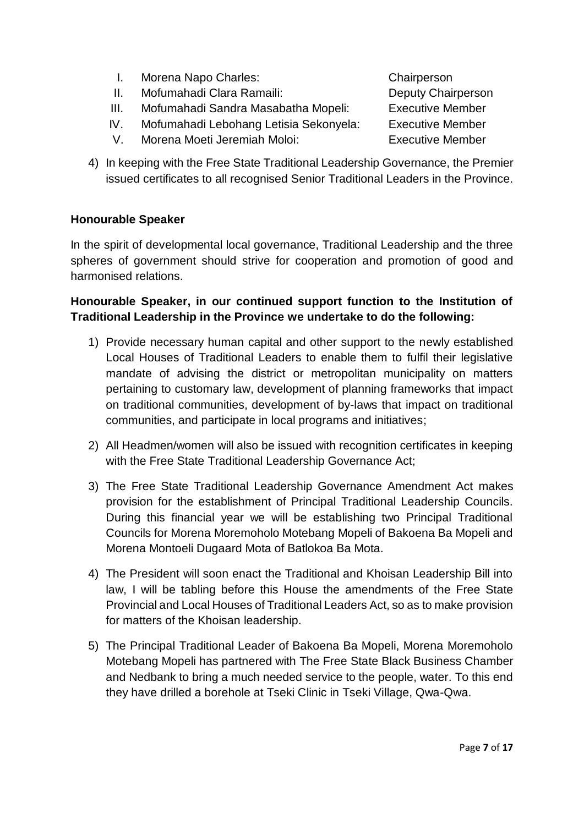- I. Morena Napo Charles: Chairperson
- II. Mofumahadi Clara Ramaili: Deputy Chairperson
- III. Mofumahadi Sandra Masabatha Mopeli: Executive Member
- IV. Mofumahadi Lebohang Letisia Sekonyela: Executive Member
- V. Morena Moeti Jeremiah Moloi: Executive Member
- 4) In keeping with the Free State Traditional Leadership Governance, the Premier issued certificates to all recognised Senior Traditional Leaders in the Province.

# **Honourable Speaker**

In the spirit of developmental local governance, Traditional Leadership and the three spheres of government should strive for cooperation and promotion of good and harmonised relations.

# **Honourable Speaker, in our continued support function to the Institution of Traditional Leadership in the Province we undertake to do the following:**

- 1) Provide necessary human capital and other support to the newly established Local Houses of Traditional Leaders to enable them to fulfil their legislative mandate of advising the district or metropolitan municipality on matters pertaining to customary law, development of planning frameworks that impact on traditional communities, development of by-laws that impact on traditional communities, and participate in local programs and initiatives;
- 2) All Headmen/women will also be issued with recognition certificates in keeping with the Free State Traditional Leadership Governance Act;
- 3) The Free State Traditional Leadership Governance Amendment Act makes provision for the establishment of Principal Traditional Leadership Councils. During this financial year we will be establishing two Principal Traditional Councils for Morena Moremoholo Motebang Mopeli of Bakoena Ba Mopeli and Morena Montoeli Dugaard Mota of Batlokoa Ba Mota.
- 4) The President will soon enact the Traditional and Khoisan Leadership Bill into law, I will be tabling before this House the amendments of the Free State Provincial and Local Houses of Traditional Leaders Act, so as to make provision for matters of the Khoisan leadership.
- 5) The Principal Traditional Leader of Bakoena Ba Mopeli, Morena Moremoholo Motebang Mopeli has partnered with The Free State Black Business Chamber and Nedbank to bring a much needed service to the people, water. To this end they have drilled a borehole at Tseki Clinic in Tseki Village, Qwa-Qwa.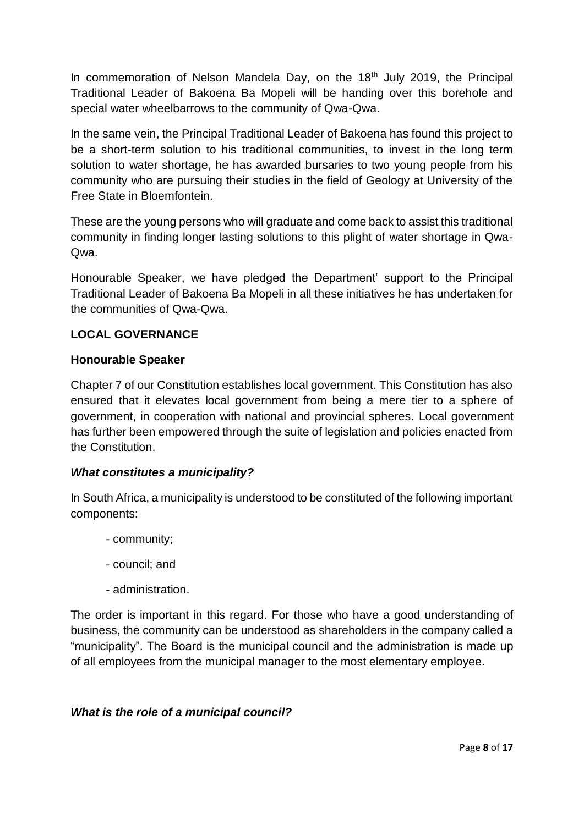In commemoration of Nelson Mandela Day, on the  $18<sup>th</sup>$  July 2019, the Principal Traditional Leader of Bakoena Ba Mopeli will be handing over this borehole and special water wheelbarrows to the community of Qwa-Qwa.

In the same vein, the Principal Traditional Leader of Bakoena has found this project to be a short-term solution to his traditional communities, to invest in the long term solution to water shortage, he has awarded bursaries to two young people from his community who are pursuing their studies in the field of Geology at University of the Free State in Bloemfontein.

These are the young persons who will graduate and come back to assist this traditional community in finding longer lasting solutions to this plight of water shortage in Qwa-Qwa.

Honourable Speaker, we have pledged the Department' support to the Principal Traditional Leader of Bakoena Ba Mopeli in all these initiatives he has undertaken for the communities of Qwa-Qwa.

# **LOCAL GOVERNANCE**

# **Honourable Speaker**

Chapter 7 of our Constitution establishes local government. This Constitution has also ensured that it elevates local government from being a mere tier to a sphere of government, in cooperation with national and provincial spheres. Local government has further been empowered through the suite of legislation and policies enacted from the Constitution.

# *What constitutes a municipality?*

In South Africa, a municipality is understood to be constituted of the following important components:

- community;
- council; and
- administration.

The order is important in this regard. For those who have a good understanding of business, the community can be understood as shareholders in the company called a "municipality". The Board is the municipal council and the administration is made up of all employees from the municipal manager to the most elementary employee.

# *What is the role of a municipal council?*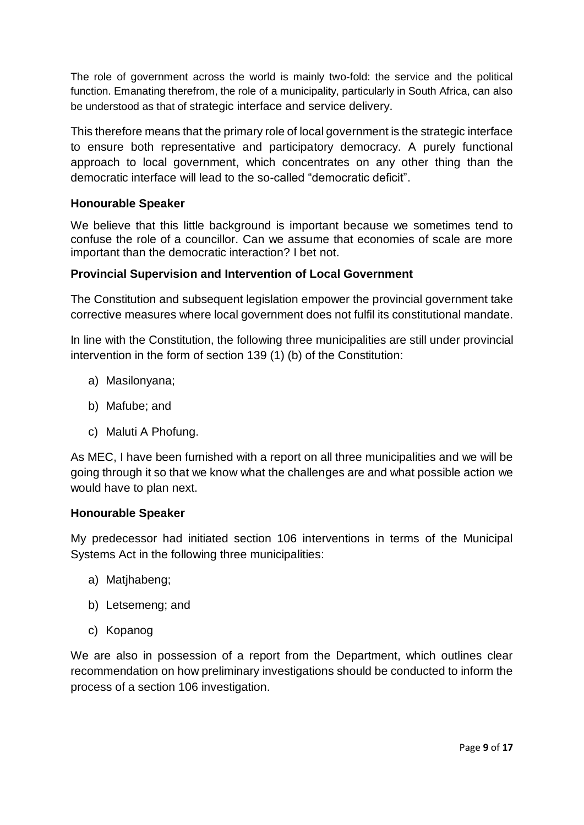The role of government across the world is mainly two-fold: the service and the political function. Emanating therefrom, the role of a municipality, particularly in South Africa, can also be understood as that of strategic interface and service delivery.

This therefore means that the primary role of local government is the strategic interface to ensure both representative and participatory democracy. A purely functional approach to local government, which concentrates on any other thing than the democratic interface will lead to the so-called "democratic deficit".

### **Honourable Speaker**

We believe that this little background is important because we sometimes tend to confuse the role of a councillor. Can we assume that economies of scale are more important than the democratic interaction? I bet not.

### **Provincial Supervision and Intervention of Local Government**

The Constitution and subsequent legislation empower the provincial government take corrective measures where local government does not fulfil its constitutional mandate.

In line with the Constitution, the following three municipalities are still under provincial intervention in the form of section 139 (1) (b) of the Constitution:

- a) Masilonyana;
- b) Mafube; and
- c) Maluti A Phofung.

As MEC, I have been furnished with a report on all three municipalities and we will be going through it so that we know what the challenges are and what possible action we would have to plan next.

#### **Honourable Speaker**

My predecessor had initiated section 106 interventions in terms of the Municipal Systems Act in the following three municipalities:

- a) Matjhabeng;
- b) Letsemeng; and
- c) Kopanog

We are also in possession of a report from the Department, which outlines clear recommendation on how preliminary investigations should be conducted to inform the process of a section 106 investigation.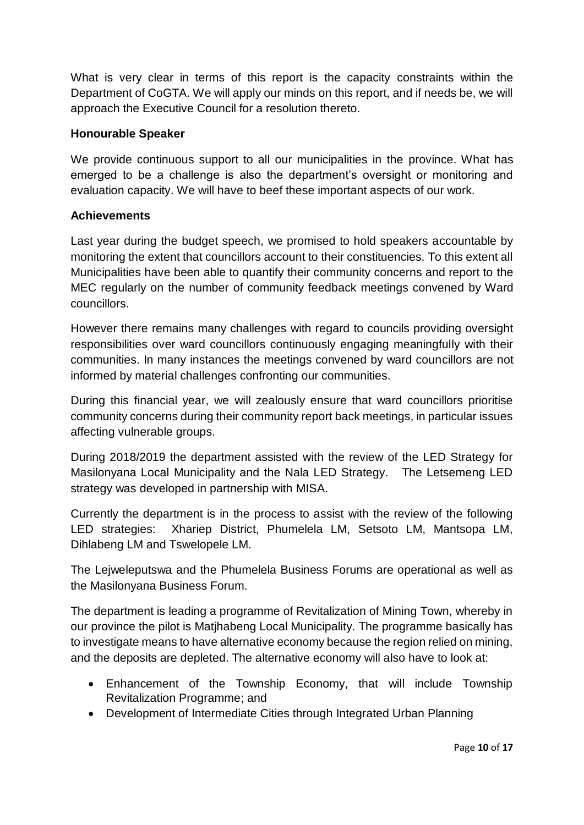What is very clear in terms of this report is the capacity constraints within the Department of CoGTA. We will apply our minds on this report, and if needs be, we will approach the Executive Council for a resolution thereto.

### **Honourable Speaker**

We provide continuous support to all our municipalities in the province. What has emerged to be a challenge is also the department's oversight or monitoring and evaluation capacity. We will have to beef these important aspects of our work.

### **Achievements**

Last year during the budget speech, we promised to hold speakers accountable by monitoring the extent that councillors account to their constituencies. To this extent all Municipalities have been able to quantify their community concerns and report to the MEC regularly on the number of community feedback meetings convened by Ward councillors.

However there remains many challenges with regard to councils providing oversight responsibilities over ward councillors continuously engaging meaningfully with their communities. In many instances the meetings convened by ward councillors are not informed by material challenges confronting our communities.

During this financial year, we will zealously ensure that ward councillors prioritise community concerns during their community report back meetings, in particular issues affecting vulnerable groups.

During 2018/2019 the department assisted with the review of the LED Strategy for Masilonyana Local Municipality and the Nala LED Strategy. The Letsemeng LED strategy was developed in partnership with MISA.

Currently the department is in the process to assist with the review of the following LED strategies: Xhariep District, Phumelela LM, Setsoto LM, Mantsopa LM, Dihlabeng LM and Tswelopele LM.

The Lejweleputswa and the Phumelela Business Forums are operational as well as the Masilonyana Business Forum.

The department is leading a programme of Revitalization of Mining Town, whereby in our province the pilot is Matjhabeng Local Municipality. The programme basically has to investigate means to have alternative economy because the region relied on mining, and the deposits are depleted. The alternative economy will also have to look at:

- Enhancement of the Township Economy, that will include Township Revitalization Programme; and
- Development of Intermediate Cities through Integrated Urban Planning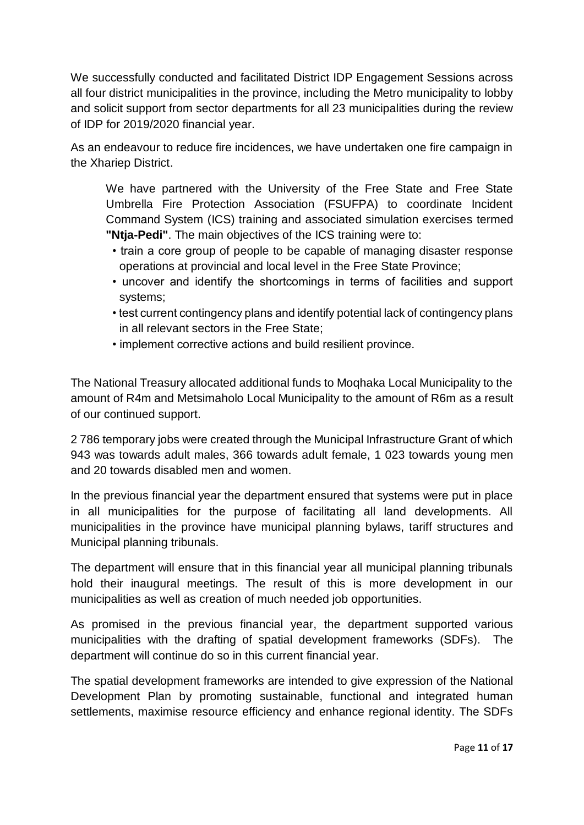We successfully conducted and facilitated District IDP Engagement Sessions across all four district municipalities in the province, including the Metro municipality to lobby and solicit support from sector departments for all 23 municipalities during the review of IDP for 2019/2020 financial year.

As an endeavour to reduce fire incidences, we have undertaken one fire campaign in the Xhariep District.

We have partnered with the University of the Free State and Free State Umbrella Fire Protection Association (FSUFPA) to coordinate Incident Command System (ICS) training and associated simulation exercises termed **"Ntja-Pedi"**. The main objectives of the ICS training were to:

- train a core group of people to be capable of managing disaster response operations at provincial and local level in the Free State Province;
- uncover and identify the shortcomings in terms of facilities and support systems;
- test current contingency plans and identify potential lack of contingency plans in all relevant sectors in the Free State;
- implement corrective actions and build resilient province.

The National Treasury allocated additional funds to Moqhaka Local Municipality to the amount of R4m and Metsimaholo Local Municipality to the amount of R6m as a result of our continued support.

2 786 temporary jobs were created through the Municipal Infrastructure Grant of which 943 was towards adult males, 366 towards adult female, 1 023 towards young men and 20 towards disabled men and women.

In the previous financial year the department ensured that systems were put in place in all municipalities for the purpose of facilitating all land developments. All municipalities in the province have municipal planning bylaws, tariff structures and Municipal planning tribunals.

The department will ensure that in this financial year all municipal planning tribunals hold their inaugural meetings. The result of this is more development in our municipalities as well as creation of much needed job opportunities.

As promised in the previous financial year, the department supported various municipalities with the drafting of spatial development frameworks (SDFs). The department will continue do so in this current financial year.

The spatial development frameworks are intended to give expression of the National Development Plan by promoting sustainable, functional and integrated human settlements, maximise resource efficiency and enhance regional identity. The SDFs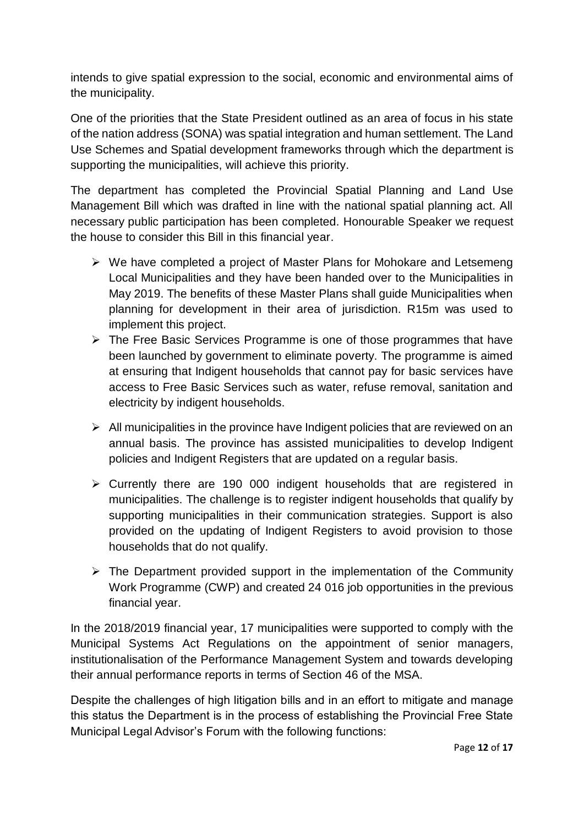intends to give spatial expression to the social, economic and environmental aims of the municipality.

One of the priorities that the State President outlined as an area of focus in his state of the nation address (SONA) was spatial integration and human settlement. The Land Use Schemes and Spatial development frameworks through which the department is supporting the municipalities, will achieve this priority.

The department has completed the Provincial Spatial Planning and Land Use Management Bill which was drafted in line with the national spatial planning act. All necessary public participation has been completed. Honourable Speaker we request the house to consider this Bill in this financial year.

- ➢ We have completed a project of Master Plans for Mohokare and Letsemeng Local Municipalities and they have been handed over to the Municipalities in May 2019. The benefits of these Master Plans shall guide Municipalities when planning for development in their area of jurisdiction. R15m was used to implement this project.
- ➢ The Free Basic Services Programme is one of those programmes that have been launched by government to eliminate poverty. The programme is aimed at ensuring that Indigent households that cannot pay for basic services have access to Free Basic Services such as water, refuse removal, sanitation and electricity by indigent households.
- $\triangleright$  All municipalities in the province have Indigent policies that are reviewed on an annual basis. The province has assisted municipalities to develop Indigent policies and Indigent Registers that are updated on a regular basis.
- ➢ Currently there are 190 000 indigent households that are registered in municipalities. The challenge is to register indigent households that qualify by supporting municipalities in their communication strategies. Support is also provided on the updating of Indigent Registers to avoid provision to those households that do not qualify.
- ➢ The Department provided support in the implementation of the Community Work Programme (CWP) and created 24 016 job opportunities in the previous financial year.

In the 2018/2019 financial year, 17 municipalities were supported to comply with the Municipal Systems Act Regulations on the appointment of senior managers, institutionalisation of the Performance Management System and towards developing their annual performance reports in terms of Section 46 of the MSA.

Despite the challenges of high litigation bills and in an effort to mitigate and manage this status the Department is in the process of establishing the Provincial Free State Municipal Legal Advisor's Forum with the following functions: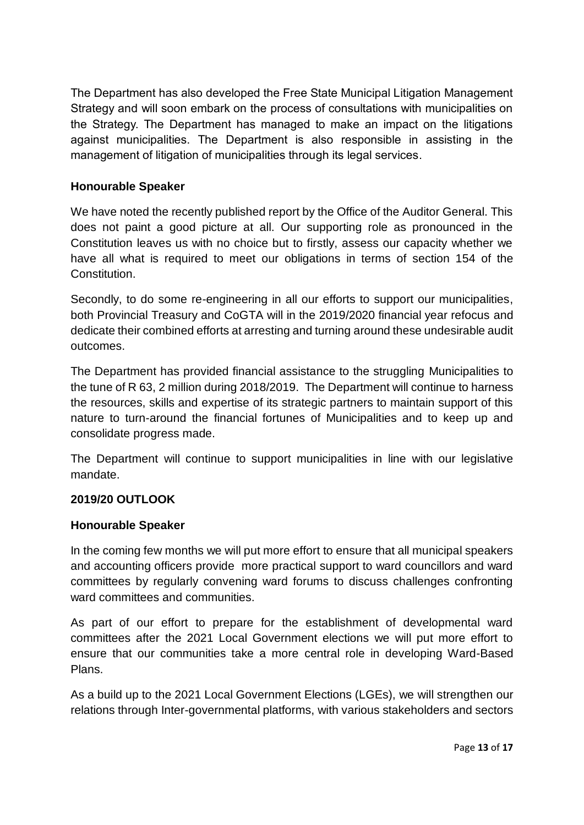The Department has also developed the Free State Municipal Litigation Management Strategy and will soon embark on the process of consultations with municipalities on the Strategy. The Department has managed to make an impact on the litigations against municipalities. The Department is also responsible in assisting in the management of litigation of municipalities through its legal services.

### **Honourable Speaker**

We have noted the recently published report by the Office of the Auditor General. This does not paint a good picture at all. Our supporting role as pronounced in the Constitution leaves us with no choice but to firstly, assess our capacity whether we have all what is required to meet our obligations in terms of section 154 of the Constitution.

Secondly, to do some re-engineering in all our efforts to support our municipalities, both Provincial Treasury and CoGTA will in the 2019/2020 financial year refocus and dedicate their combined efforts at arresting and turning around these undesirable audit outcomes.

The Department has provided financial assistance to the struggling Municipalities to the tune of R 63, 2 million during 2018/2019. The Department will continue to harness the resources, skills and expertise of its strategic partners to maintain support of this nature to turn-around the financial fortunes of Municipalities and to keep up and consolidate progress made.

The Department will continue to support municipalities in line with our legislative mandate.

# **2019/20 OUTLOOK**

#### **Honourable Speaker**

In the coming few months we will put more effort to ensure that all municipal speakers and accounting officers provide more practical support to ward councillors and ward committees by regularly convening ward forums to discuss challenges confronting ward committees and communities.

As part of our effort to prepare for the establishment of developmental ward committees after the 2021 Local Government elections we will put more effort to ensure that our communities take a more central role in developing Ward-Based Plans.

As a build up to the 2021 Local Government Elections (LGEs), we will strengthen our relations through Inter-governmental platforms, with various stakeholders and sectors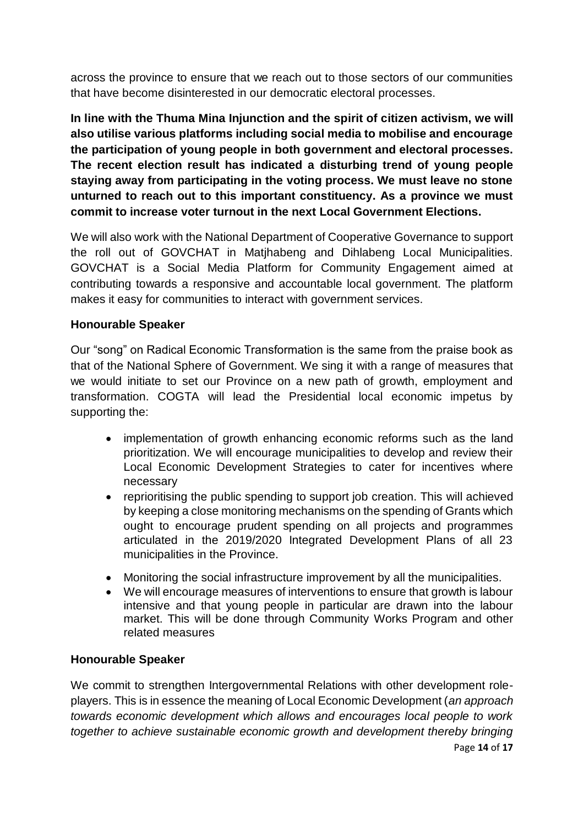across the province to ensure that we reach out to those sectors of our communities that have become disinterested in our democratic electoral processes.

**In line with the Thuma Mina Injunction and the spirit of citizen activism, we will also utilise various platforms including social media to mobilise and encourage the participation of young people in both government and electoral processes. The recent election result has indicated a disturbing trend of young people staying away from participating in the voting process. We must leave no stone unturned to reach out to this important constituency. As a province we must commit to increase voter turnout in the next Local Government Elections.** 

We will also work with the National Department of Cooperative Governance to support the roll out of GOVCHAT in Matjhabeng and Dihlabeng Local Municipalities. GOVCHAT is a Social Media Platform for Community Engagement aimed at contributing towards a responsive and accountable local government. The platform makes it easy for communities to interact with government services.

# **Honourable Speaker**

Our "song" on Radical Economic Transformation is the same from the praise book as that of the National Sphere of Government. We sing it with a range of measures that we would initiate to set our Province on a new path of growth, employment and transformation. COGTA will lead the Presidential local economic impetus by supporting the:

- implementation of growth enhancing economic reforms such as the land prioritization. We will encourage municipalities to develop and review their Local Economic Development Strategies to cater for incentives where necessary
- reprioritising the public spending to support job creation. This will achieved by keeping a close monitoring mechanisms on the spending of Grants which ought to encourage prudent spending on all projects and programmes articulated in the 2019/2020 Integrated Development Plans of all 23 municipalities in the Province.
- Monitoring the social infrastructure improvement by all the municipalities.
- We will encourage measures of interventions to ensure that growth is labour intensive and that young people in particular are drawn into the labour market. This will be done through Community Works Program and other related measures

# **Honourable Speaker**

Page **14** of **17** We commit to strengthen Intergovernmental Relations with other development roleplayers. This is in essence the meaning of Local Economic Development (*an approach towards economic development which allows and encourages local people to work together to achieve sustainable economic growth and development thereby bringing*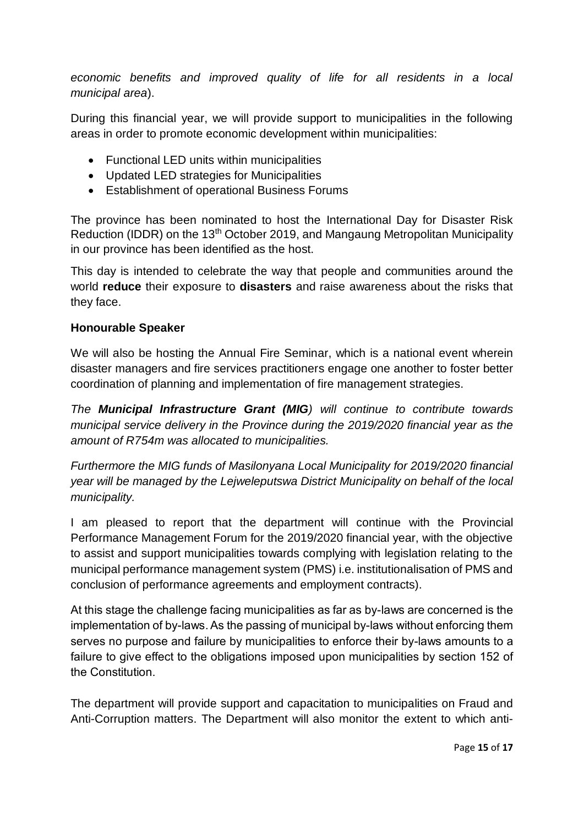*economic benefits and improved quality of life for all residents in a local municipal area*).

During this financial year, we will provide support to municipalities in the following areas in order to promote economic development within municipalities:

- Functional LED units within municipalities
- Updated LED strategies for Municipalities
- Establishment of operational Business Forums

The province has been nominated to host the International Day for Disaster Risk Reduction (IDDR) on the 13<sup>th</sup> October 2019, and Mangaung Metropolitan Municipality in our province has been identified as the host.

This day is intended to celebrate the way that people and communities around the world **reduce** their exposure to **disasters** and raise awareness about the risks that they face.

### **Honourable Speaker**

We will also be hosting the Annual Fire Seminar, which is a national event wherein disaster managers and fire services practitioners engage one another to foster better coordination of planning and implementation of fire management strategies.

*The Municipal Infrastructure Grant (MIG) will continue to contribute towards municipal service delivery in the Province during the 2019/2020 financial year as the amount of R754m was allocated to municipalities.* 

*Furthermore the MIG funds of Masilonyana Local Municipality for 2019/2020 financial year will be managed by the Lejweleputswa District Municipality on behalf of the local municipality.*

I am pleased to report that the department will continue with the Provincial Performance Management Forum for the 2019/2020 financial year, with the objective to assist and support municipalities towards complying with legislation relating to the municipal performance management system (PMS) i.e. institutionalisation of PMS and conclusion of performance agreements and employment contracts).

At this stage the challenge facing municipalities as far as by-laws are concerned is the implementation of by-laws. As the passing of municipal by-laws without enforcing them serves no purpose and failure by municipalities to enforce their by-laws amounts to a failure to give effect to the obligations imposed upon municipalities by section 152 of the Constitution.

The department will provide support and capacitation to municipalities on Fraud and Anti-Corruption matters. The Department will also monitor the extent to which anti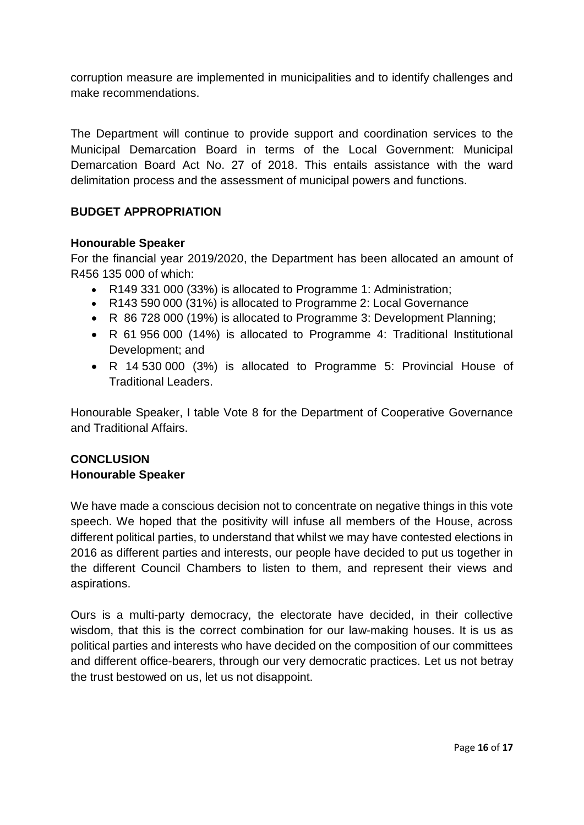corruption measure are implemented in municipalities and to identify challenges and make recommendations.

The Department will continue to provide support and coordination services to the Municipal Demarcation Board in terms of the Local Government: Municipal Demarcation Board Act No. 27 of 2018. This entails assistance with the ward delimitation process and the assessment of municipal powers and functions.

# **BUDGET APPROPRIATION**

#### **Honourable Speaker**

For the financial year 2019/2020, the Department has been allocated an amount of R456 135 000 of which:

- R149 331 000 (33%) is allocated to Programme 1: Administration;
- R143 590 000 (31%) is allocated to Programme 2: Local Governance
- R 86 728 000 (19%) is allocated to Programme 3: Development Planning;
- R 61 956 000 (14%) is allocated to Programme 4: Traditional Institutional Development; and
- R 14 530 000 (3%) is allocated to Programme 5: Provincial House of Traditional Leaders.

Honourable Speaker, I table Vote 8 for the Department of Cooperative Governance and Traditional Affairs.

### **CONCLUSION Honourable Speaker**

We have made a conscious decision not to concentrate on negative things in this vote speech. We hoped that the positivity will infuse all members of the House, across different political parties, to understand that whilst we may have contested elections in 2016 as different parties and interests, our people have decided to put us together in the different Council Chambers to listen to them, and represent their views and aspirations.

Ours is a multi-party democracy, the electorate have decided, in their collective wisdom, that this is the correct combination for our law-making houses. It is us as political parties and interests who have decided on the composition of our committees and different office-bearers, through our very democratic practices. Let us not betray the trust bestowed on us, let us not disappoint.